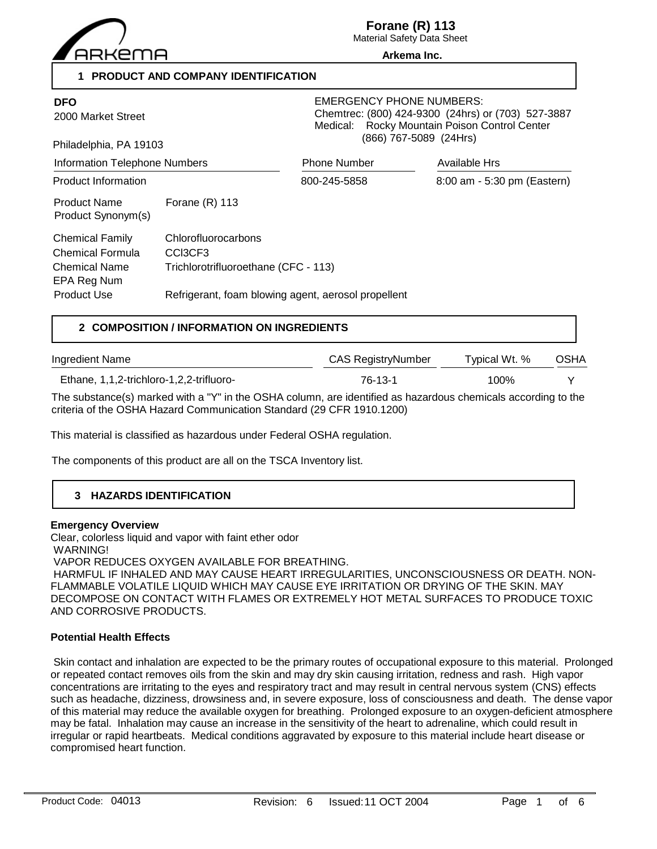

**Forane (R) 113**

Material Safety Data Sheet **Arkema Inc.**

**1 PRODUCT AND COMPANY IDENTIFICATION**

| <b>DFO</b><br>2000 Market Street<br>Philadelphia, PA 19103                                |                                                                                                                               | <b>EMERGENCY PHONE NUMBERS:</b><br>Chemtrec: (800) 424-9300 (24hrs) or (703) 527-3887<br>Medical: Rocky Mountain Poison Control Center<br>(866) 767-5089 (24Hrs) |                             |  |
|-------------------------------------------------------------------------------------------|-------------------------------------------------------------------------------------------------------------------------------|------------------------------------------------------------------------------------------------------------------------------------------------------------------|-----------------------------|--|
| <b>Information Telephone Numbers</b>                                                      |                                                                                                                               | <b>Phone Number</b>                                                                                                                                              | Available Hrs               |  |
| <b>Product Information</b>                                                                |                                                                                                                               | 800-245-5858                                                                                                                                                     | 8:00 am - 5:30 pm (Eastern) |  |
| <b>Product Name</b><br>Product Synonym(s)                                                 | Forane $(R)$ 113                                                                                                              |                                                                                                                                                                  |                             |  |
| <b>Chemical Family</b><br>Chemical Formula<br>Chemical Name<br>EPA Reg Num<br>Product Use | Chlorofluorocarbons<br>CCI3CF3<br>Trichlorotrifluoroethane (CFC - 113)<br>Refrigerant, foam blowing agent, aerosol propellent |                                                                                                                                                                  |                             |  |

# **2 COMPOSITION / INFORMATION ON INGREDIENTS**

| Ingredient Name                          | CAS RegistryNumber | Typical Wt. % | <b>OSHA</b> |  |
|------------------------------------------|--------------------|---------------|-------------|--|
| Ethane, 1,1,2-trichloro-1,2,2-trifluoro- | 76-13-1            | 100%          |             |  |

The substance(s) marked with a "Y" in the OSHA column, are identified as hazardous chemicals according to the criteria of the OSHA Hazard Communication Standard (29 CFR 1910.1200)

This material is classified as hazardous under Federal OSHA regulation.

The components of this product are all on the TSCA Inventory list.

# **3 HAZARDS IDENTIFICATION**

## **Emergency Overview**

Clear, colorless liquid and vapor with faint ether odor

WARNING!

VAPOR REDUCES OXYGEN AVAILABLE FOR BREATHING.

 HARMFUL IF INHALED AND MAY CAUSE HEART IRREGULARITIES, UNCONSCIOUSNESS OR DEATH. NON-FLAMMABLE VOLATILE LIQUID WHICH MAY CAUSE EYE IRRITATION OR DRYING OF THE SKIN. MAY DECOMPOSE ON CONTACT WITH FLAMES OR EXTREMELY HOT METAL SURFACES TO PRODUCE TOXIC AND CORROSIVE PRODUCTS.

# **Potential Health Effects**

 Skin contact and inhalation are expected to be the primary routes of occupational exposure to this material. Prolonged or repeated contact removes oils from the skin and may dry skin causing irritation, redness and rash. High vapor concentrations are irritating to the eyes and respiratory tract and may result in central nervous system (CNS) effects such as headache, dizziness, drowsiness and, in severe exposure, loss of consciousness and death. The dense vapor of this material may reduce the available oxygen for breathing. Prolonged exposure to an oxygen-deficient atmosphere may be fatal. Inhalation may cause an increase in the sensitivity of the heart to adrenaline, which could result in irregular or rapid heartbeats. Medical conditions aggravated by exposure to this material include heart disease or compromised heart function.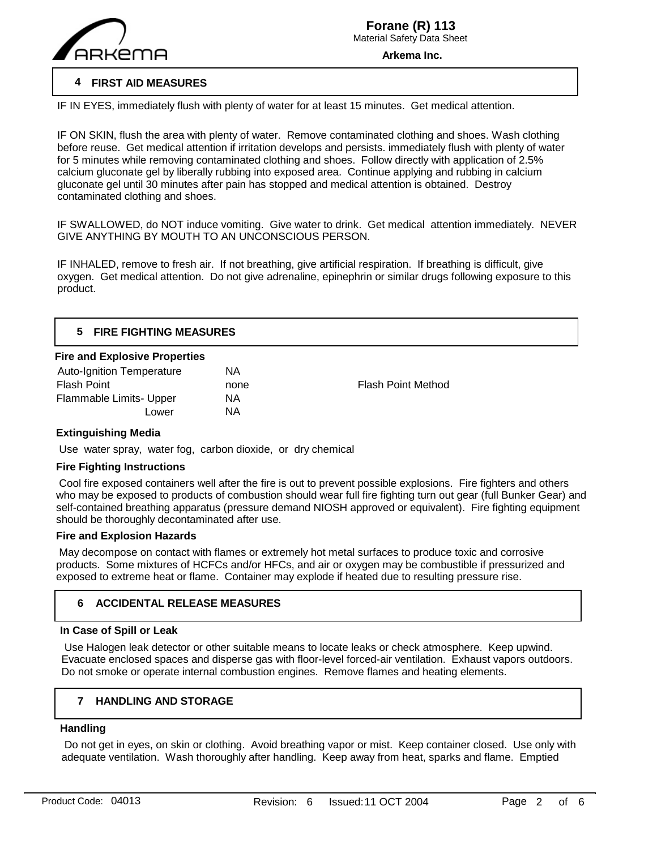

# **4 FIRST AID MEASURES**

IF IN EYES, immediately flush with plenty of water for at least 15 minutes. Get medical attention.

IF ON SKIN, flush the area with plenty of water. Remove contaminated clothing and shoes. Wash clothing before reuse. Get medical attention if irritation develops and persists. immediately flush with plenty of water for 5 minutes while removing contaminated clothing and shoes. Follow directly with application of 2.5% calcium gluconate gel by liberally rubbing into exposed area. Continue applying and rubbing in calcium gluconate gel until 30 minutes after pain has stopped and medical attention is obtained. Destroy contaminated clothing and shoes.

IF SWALLOWED, do NOT induce vomiting. Give water to drink. Get medical attention immediately. NEVER GIVE ANYTHING BY MOUTH TO AN UNCONSCIOUS PERSON.

IF INHALED, remove to fresh air. If not breathing, give artificial respiration. If breathing is difficult, give oxygen. Get medical attention. Do not give adrenaline, epinephrin or similar drugs following exposure to this product.

# **5 FIRE FIGHTING MEASURES**

### **Fire and Explosive Properties**

| <b>Auto-Ignition Temperature</b> | ΝA   |
|----------------------------------|------|
| <b>Flash Point</b>               | none |
| Flammable Limits- Upper          | ΝA   |
| Lower                            | ΝA   |

Flash Point Method

# **Extinguishing Media**

Use water spray, water fog, carbon dioxide, or dry chemical

# **Fire Fighting Instructions**

 Cool fire exposed containers well after the fire is out to prevent possible explosions. Fire fighters and others who may be exposed to products of combustion should wear full fire fighting turn out gear (full Bunker Gear) and self-contained breathing apparatus (pressure demand NIOSH approved or equivalent). Fire fighting equipment should be thoroughly decontaminated after use.

# **Fire and Explosion Hazards**

 May decompose on contact with flames or extremely hot metal surfaces to produce toxic and corrosive products. Some mixtures of HCFCs and/or HFCs, and air or oxygen may be combustible if pressurized and exposed to extreme heat or flame. Container may explode if heated due to resulting pressure rise.

# **6 ACCIDENTAL RELEASE MEASURES**

#### **In Case of Spill or Leak**

 Use Halogen leak detector or other suitable means to locate leaks or check atmosphere. Keep upwind. Evacuate enclosed spaces and disperse gas with floor-level forced-air ventilation. Exhaust vapors outdoors. Do not smoke or operate internal combustion engines. Remove flames and heating elements.

#### **7 HANDLING AND STORAGE**

# **Handling**

 $\overline{a}$ 

 Do not get in eyes, on skin or clothing. Avoid breathing vapor or mist. Keep container closed. Use only with adequate ventilation. Wash thoroughly after handling. Keep away from heat, sparks and flame. Emptied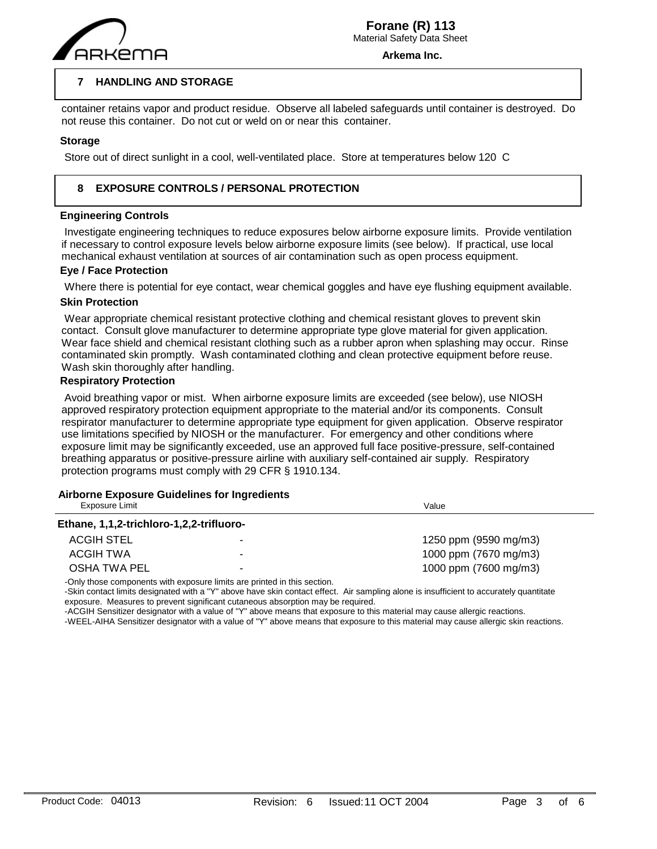

#### **7 HANDLING AND STORAGE**

container retains vapor and product residue. Observe all labeled safeguards until container is destroyed. Do not reuse this container. Do not cut or weld on or near this container.

## **Storage**

 $\overline{a}$ 

Store out of direct sunlight in a cool, well-ventilated place. Store at temperatures below 120 C

#### **8 EXPOSURE CONTROLS / PERSONAL PROTECTION**

### **Engineering Controls**

 Investigate engineering techniques to reduce exposures below airborne exposure limits. Provide ventilation if necessary to control exposure levels below airborne exposure limits (see below). If practical, use local mechanical exhaust ventilation at sources of air contamination such as open process equipment.

### **Eye / Face Protection**

Where there is potential for eye contact, wear chemical goggles and have eye flushing equipment available.

# **Skin Protection**

 Wear appropriate chemical resistant protective clothing and chemical resistant gloves to prevent skin contact. Consult glove manufacturer to determine appropriate type glove material for given application. Wear face shield and chemical resistant clothing such as a rubber apron when splashing may occur. Rinse contaminated skin promptly. Wash contaminated clothing and clean protective equipment before reuse. Wash skin thoroughly after handling.

### **Respiratory Protection**

 Avoid breathing vapor or mist. When airborne exposure limits are exceeded (see below), use NIOSH approved respiratory protection equipment appropriate to the material and/or its components. Consult respirator manufacturer to determine appropriate type equipment for given application. Observe respirator use limitations specified by NIOSH or the manufacturer. For emergency and other conditions where exposure limit may be significantly exceeded, use an approved full face positive-pressure, self-contained breathing apparatus or positive-pressure airline with auxiliary self-contained air supply. Respiratory protection programs must comply with 29 CFR § 1910.134.

# **Airborne Exposure Guidelines for Ingredients**

| Exposure Limit                           |   | Value                 |
|------------------------------------------|---|-----------------------|
| Ethane, 1,1,2-trichloro-1,2,2-trifluoro- |   |                       |
| ACGIH STEL                               |   | 1250 ppm (9590 mg/m3) |
| ACGIH TWA                                | - | 1000 ppm (7670 mg/m3) |
| <b>OSHA TWA PEL</b>                      | - | 1000 ppm (7600 mg/m3) |

-Only those components with exposure limits are printed in this section.

-Skin contact limits designated with a "Y" above have skin contact effect. Air sampling alone is insufficient to accurately quantitate exposure. Measures to prevent significant cutaneous absorption may be required.

-ACGIH Sensitizer designator with a value of "Y" above means that exposure to this material may cause allergic reactions.

-WEEL-AIHA Sensitizer designator with a value of "Y" above means that exposure to this material may cause allergic skin reactions.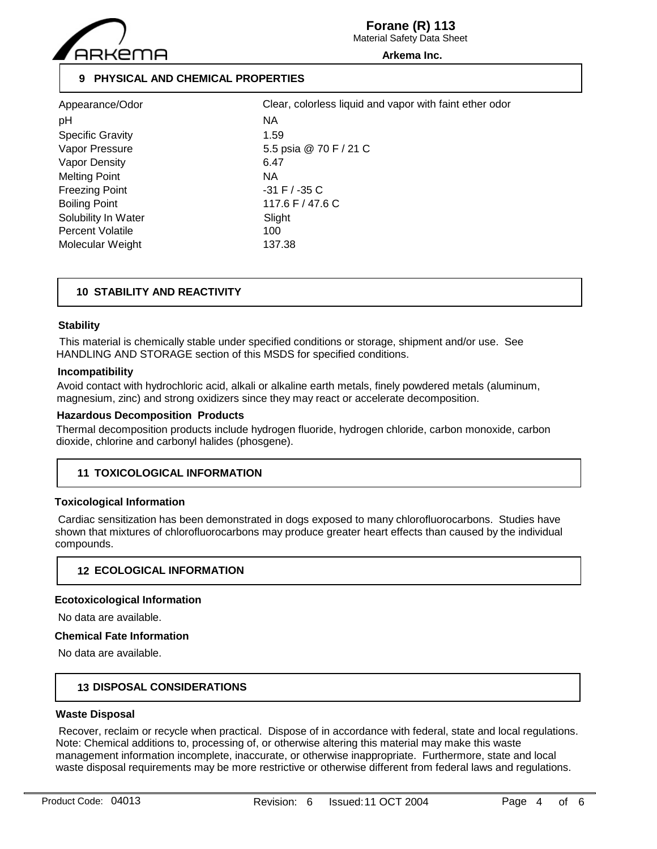

**Forane (R) 113**

Material Safety Data Sheet

**Arkema Inc.**

# **9 PHYSICAL AND CHEMICAL PROPERTIES**

| Appearance/Odor         | Clea              |
|-------------------------|-------------------|
| рH                      | ΝA                |
| <b>Specific Gravity</b> | 1.59              |
| Vapor Pressure          | $5.5 \, \text{p}$ |
| <b>Vapor Density</b>    | 6.47              |
| <b>Melting Point</b>    | NA.               |
| <b>Freezing Point</b>   | -31 I             |
| <b>Boiling Point</b>    | 117.              |
| Solubility In Water     | Sligh             |
| <b>Percent Volatile</b> | 100               |
| Molecular Weight        | 137.              |

5.5 psia @ 70 F / 21 C  $-31$  F /  $-35$  C  $117.6$  F / 47.6 C Slight 137.38 Clear, colorless liquid and vapor with faint ether odor

# **10 STABILITY AND REACTIVITY**

### **Stability**

 This material is chemically stable under specified conditions or storage, shipment and/or use. See HANDLING AND STORAGE section of this MSDS for specified conditions.

# **Incompatibility**

Avoid contact with hydrochloric acid, alkali or alkaline earth metals, finely powdered metals (aluminum, magnesium, zinc) and strong oxidizers since they may react or accelerate decomposition.

### **Hazardous Decomposition Products**

Thermal decomposition products include hydrogen fluoride, hydrogen chloride, carbon monoxide, carbon dioxide, chlorine and carbonyl halides (phosgene).

# **11 TOXICOLOGICAL INFORMATION**

# **Toxicological Information**

 Cardiac sensitization has been demonstrated in dogs exposed to many chlorofluorocarbons. Studies have shown that mixtures of chlorofluorocarbons may produce greater heart effects than caused by the individual compounds.

# **12 ECOLOGICAL INFORMATION**

#### **Ecotoxicological Information**

No data are available.

#### **Chemical Fate Information**

No data are available.

# **13 DISPOSAL CONSIDERATIONS**

## **Waste Disposal**

 Recover, reclaim or recycle when practical. Dispose of in accordance with federal, state and local regulations. Note: Chemical additions to, processing of, or otherwise altering this material may make this waste management information incomplete, inaccurate, or otherwise inappropriate. Furthermore, state and local waste disposal requirements may be more restrictive or otherwise different from federal laws and regulations.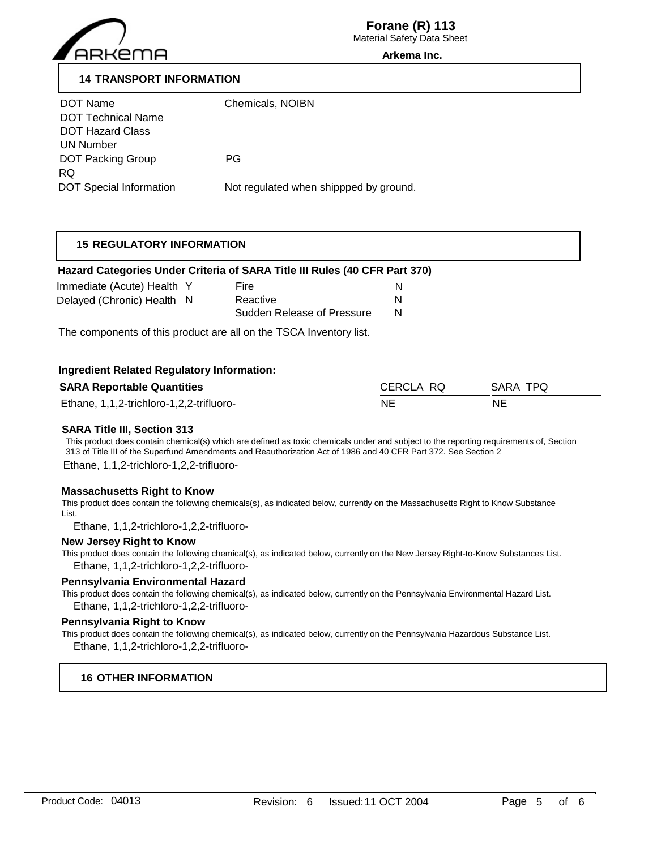

Material Safety Data Sheet

#### **Arkema Inc.**

# **14 TRANSPORT INFORMATION**

| DOT Name                       | Chemicals, NOIBN                       |
|--------------------------------|----------------------------------------|
| <b>DOT Technical Name</b>      |                                        |
| <b>DOT Hazard Class</b>        |                                        |
| UN Number                      |                                        |
| <b>DOT Packing Group</b>       | PG.                                    |
| RQ.                            |                                        |
| <b>DOT Special Information</b> | Not regulated when shippped by ground. |

# **15 REGULATORY INFORMATION**

### **Hazard Categories Under Criteria of SARA Title III Rules (40 CFR Part 370)**

| Immediate (Acute) Health Y | Fire                       |   |
|----------------------------|----------------------------|---|
| Delayed (Chronic) Health N | Reactive                   | N |
|                            | Sudden Release of Pressure | N |

The components of this product are all on the TSCA Inventory list.

### **Ingredient Related Regulatory Information:**

| <b>SARA Reportable Quantities</b>        | CERCLA RO | SARA TPO |
|------------------------------------------|-----------|----------|
| Ethane, 1,1,2-trichloro-1,2,2-trifluoro- | NE        | NE       |

#### **SARA Title III, Section 313**

This product does contain chemical(s) which are defined as toxic chemicals under and subject to the reporting requirements of, Section 313 of Title III of the Superfund Amendments and Reauthorization Act of 1986 and 40 CFR Part 372. See Section 2 Ethane, 1,1,2-trichloro-1,2,2-trifluoro-

**Massachusetts Right to Know**

This product does contain the following chemicals(s), as indicated below, currently on the Massachusetts Right to Know Substance List.

Ethane, 1,1,2-trichloro-1,2,2-trifluoro-

#### **New Jersey Right to Know**

This product does contain the following chemical(s), as indicated below, currently on the New Jersey Right-to-Know Substances List. Ethane, 1,1,2-trichloro-1,2,2-trifluoro-

#### **Pennsylvania Environmental Hazard**

This product does contain the following chemical(s), as indicated below, currently on the Pennsylvania Environmental Hazard List. Ethane, 1,1,2-trichloro-1,2,2-trifluoro-

#### **Pennsylvania Right to Know**

This product does contain the following chemical(s), as indicated below, currently on the Pennsylvania Hazardous Substance List. Ethane, 1,1,2-trichloro-1,2,2-trifluoro-

# **16 OTHER INFORMATION**